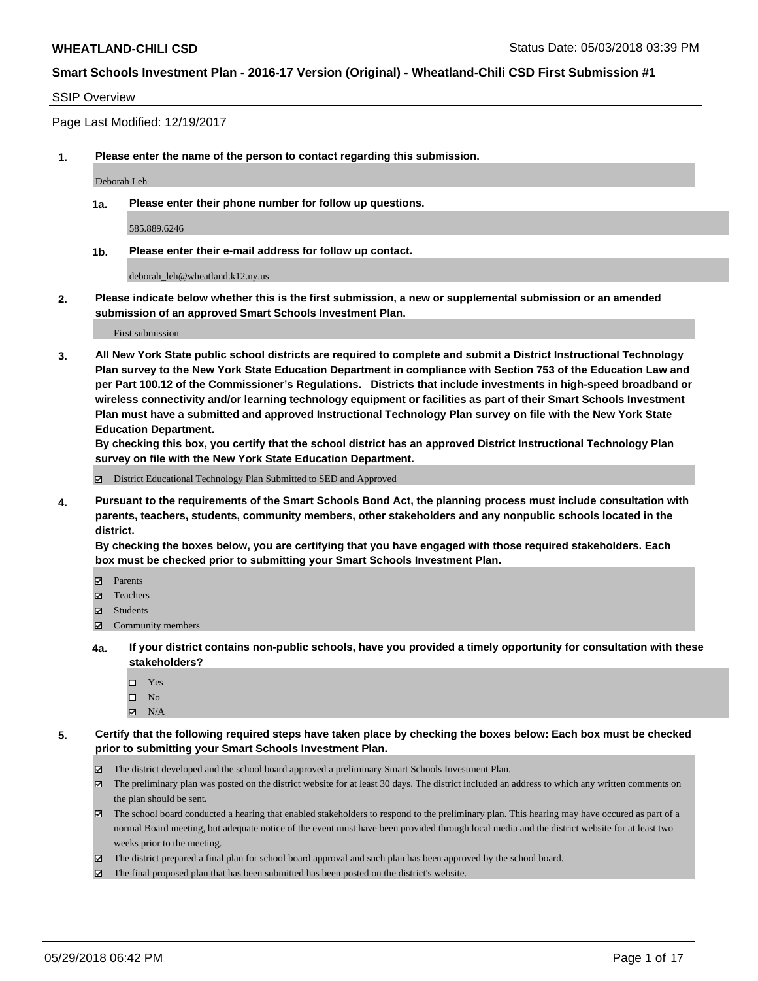#### SSIP Overview

Page Last Modified: 12/19/2017

**1. Please enter the name of the person to contact regarding this submission.**

Deborah Leh

**1a. Please enter their phone number for follow up questions.**

585.889.6246

**1b. Please enter their e-mail address for follow up contact.**

deborah\_leh@wheatland.k12.ny.us

**2. Please indicate below whether this is the first submission, a new or supplemental submission or an amended submission of an approved Smart Schools Investment Plan.**

First submission

**3. All New York State public school districts are required to complete and submit a District Instructional Technology Plan survey to the New York State Education Department in compliance with Section 753 of the Education Law and per Part 100.12 of the Commissioner's Regulations. Districts that include investments in high-speed broadband or wireless connectivity and/or learning technology equipment or facilities as part of their Smart Schools Investment Plan must have a submitted and approved Instructional Technology Plan survey on file with the New York State Education Department.** 

**By checking this box, you certify that the school district has an approved District Instructional Technology Plan survey on file with the New York State Education Department.**

District Educational Technology Plan Submitted to SED and Approved

**4. Pursuant to the requirements of the Smart Schools Bond Act, the planning process must include consultation with parents, teachers, students, community members, other stakeholders and any nonpublic schools located in the district.** 

**By checking the boxes below, you are certifying that you have engaged with those required stakeholders. Each box must be checked prior to submitting your Smart Schools Investment Plan.**

- Parents
- Teachers
- Students
- $\Xi$  Community members
- **4a. If your district contains non-public schools, have you provided a timely opportunity for consultation with these stakeholders?**
	- Yes
	- $\square$  No
	- $N/A$
- **5. Certify that the following required steps have taken place by checking the boxes below: Each box must be checked prior to submitting your Smart Schools Investment Plan.**
	- The district developed and the school board approved a preliminary Smart Schools Investment Plan.
	- $\boxtimes$  The preliminary plan was posted on the district website for at least 30 days. The district included an address to which any written comments on the plan should be sent.
	- $\boxtimes$  The school board conducted a hearing that enabled stakeholders to respond to the preliminary plan. This hearing may have occured as part of a normal Board meeting, but adequate notice of the event must have been provided through local media and the district website for at least two weeks prior to the meeting.
	- The district prepared a final plan for school board approval and such plan has been approved by the school board.
	- $\boxtimes$  The final proposed plan that has been submitted has been posted on the district's website.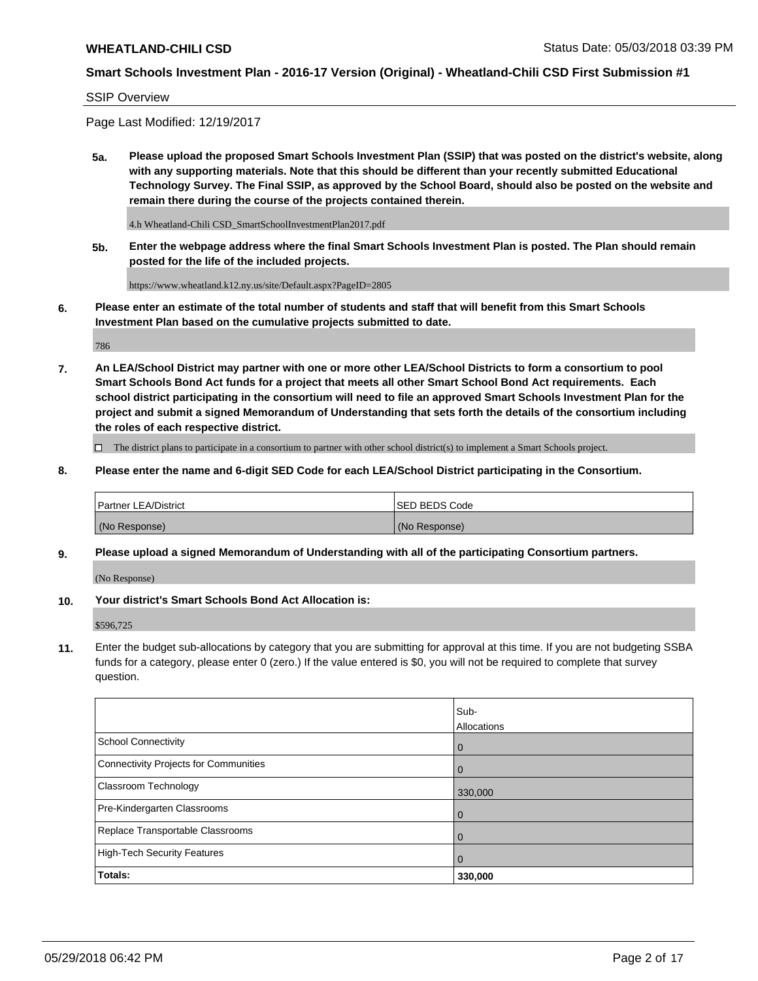## SSIP Overview

Page Last Modified: 12/19/2017

**5a. Please upload the proposed Smart Schools Investment Plan (SSIP) that was posted on the district's website, along with any supporting materials. Note that this should be different than your recently submitted Educational Technology Survey. The Final SSIP, as approved by the School Board, should also be posted on the website and remain there during the course of the projects contained therein.**

4.h Wheatland-Chili CSD\_SmartSchoolInvestmentPlan2017.pdf

**5b. Enter the webpage address where the final Smart Schools Investment Plan is posted. The Plan should remain posted for the life of the included projects.**

https://www.wheatland.k12.ny.us/site/Default.aspx?PageID=2805

**6. Please enter an estimate of the total number of students and staff that will benefit from this Smart Schools Investment Plan based on the cumulative projects submitted to date.**

786

**7. An LEA/School District may partner with one or more other LEA/School Districts to form a consortium to pool Smart Schools Bond Act funds for a project that meets all other Smart School Bond Act requirements. Each school district participating in the consortium will need to file an approved Smart Schools Investment Plan for the project and submit a signed Memorandum of Understanding that sets forth the details of the consortium including the roles of each respective district.**

 $\Box$  The district plans to participate in a consortium to partner with other school district(s) to implement a Smart Schools project.

**8. Please enter the name and 6-digit SED Code for each LEA/School District participating in the Consortium.**

| <b>Partner LEA/District</b> | <b>ISED BEDS Code</b> |
|-----------------------------|-----------------------|
| (No Response)               | (No Response)         |

#### **9. Please upload a signed Memorandum of Understanding with all of the participating Consortium partners.**

(No Response)

**10. Your district's Smart Schools Bond Act Allocation is:**

\$596,725

**11.** Enter the budget sub-allocations by category that you are submitting for approval at this time. If you are not budgeting SSBA funds for a category, please enter 0 (zero.) If the value entered is \$0, you will not be required to complete that survey question.

|                                       | Sub-<br>Allocations |
|---------------------------------------|---------------------|
| <b>School Connectivity</b>            | $\mathbf 0$         |
| Connectivity Projects for Communities | $\Omega$            |
| Classroom Technology                  | 330,000             |
| Pre-Kindergarten Classrooms           | $\overline{0}$      |
| Replace Transportable Classrooms      | 0                   |
| <b>High-Tech Security Features</b>    | $\overline{0}$      |
| Totals:                               | 330,000             |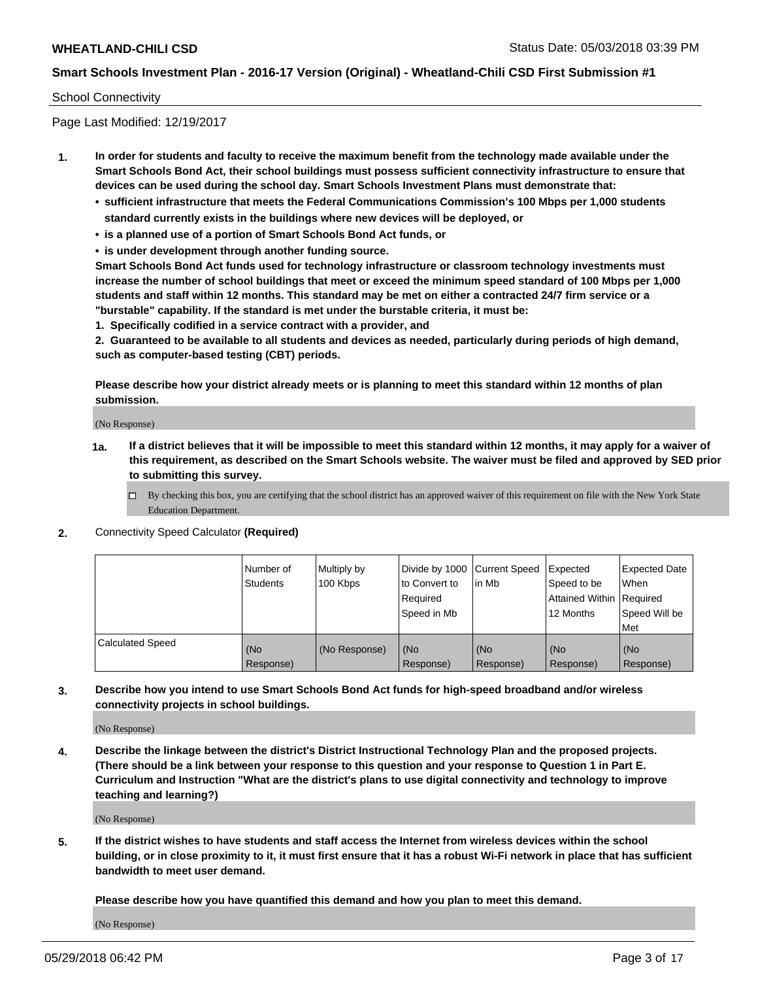## School Connectivity

Page Last Modified: 12/19/2017

- **1. In order for students and faculty to receive the maximum benefit from the technology made available under the Smart Schools Bond Act, their school buildings must possess sufficient connectivity infrastructure to ensure that devices can be used during the school day. Smart Schools Investment Plans must demonstrate that:**
	- **• sufficient infrastructure that meets the Federal Communications Commission's 100 Mbps per 1,000 students standard currently exists in the buildings where new devices will be deployed, or**
	- **• is a planned use of a portion of Smart Schools Bond Act funds, or**
	- **• is under development through another funding source.**

**Smart Schools Bond Act funds used for technology infrastructure or classroom technology investments must increase the number of school buildings that meet or exceed the minimum speed standard of 100 Mbps per 1,000 students and staff within 12 months. This standard may be met on either a contracted 24/7 firm service or a "burstable" capability. If the standard is met under the burstable criteria, it must be:**

**1. Specifically codified in a service contract with a provider, and**

**2. Guaranteed to be available to all students and devices as needed, particularly during periods of high demand, such as computer-based testing (CBT) periods.**

**Please describe how your district already meets or is planning to meet this standard within 12 months of plan submission.**

(No Response)

- **1a. If a district believes that it will be impossible to meet this standard within 12 months, it may apply for a waiver of this requirement, as described on the Smart Schools website. The waiver must be filed and approved by SED prior to submitting this survey.**
	- By checking this box, you are certifying that the school district has an approved waiver of this requirement on file with the New York State Education Department.
- **2.** Connectivity Speed Calculator **(Required)**

|                         | l Number of<br><b>Students</b> | Multiply by<br>100 Kbps | Divide by 1000 Current Speed<br>to Convert to<br>Required<br>Speed in Mb | lin Mb           | Expected<br>Speed to be<br>Attained Within Required<br>12 Months | Expected Date<br><b>When</b><br>Speed Will be<br>l Met |
|-------------------------|--------------------------------|-------------------------|--------------------------------------------------------------------------|------------------|------------------------------------------------------------------|--------------------------------------------------------|
| <b>Calculated Speed</b> | (No<br>Response)               | (No Response)           | (No<br>Response)                                                         | (No<br>Response) | (No<br>Response)                                                 | (No<br>Response)                                       |

**3. Describe how you intend to use Smart Schools Bond Act funds for high-speed broadband and/or wireless connectivity projects in school buildings.**

(No Response)

**4. Describe the linkage between the district's District Instructional Technology Plan and the proposed projects. (There should be a link between your response to this question and your response to Question 1 in Part E. Curriculum and Instruction "What are the district's plans to use digital connectivity and technology to improve teaching and learning?)**

(No Response)

**5. If the district wishes to have students and staff access the Internet from wireless devices within the school building, or in close proximity to it, it must first ensure that it has a robust Wi-Fi network in place that has sufficient bandwidth to meet user demand.**

**Please describe how you have quantified this demand and how you plan to meet this demand.**

(No Response)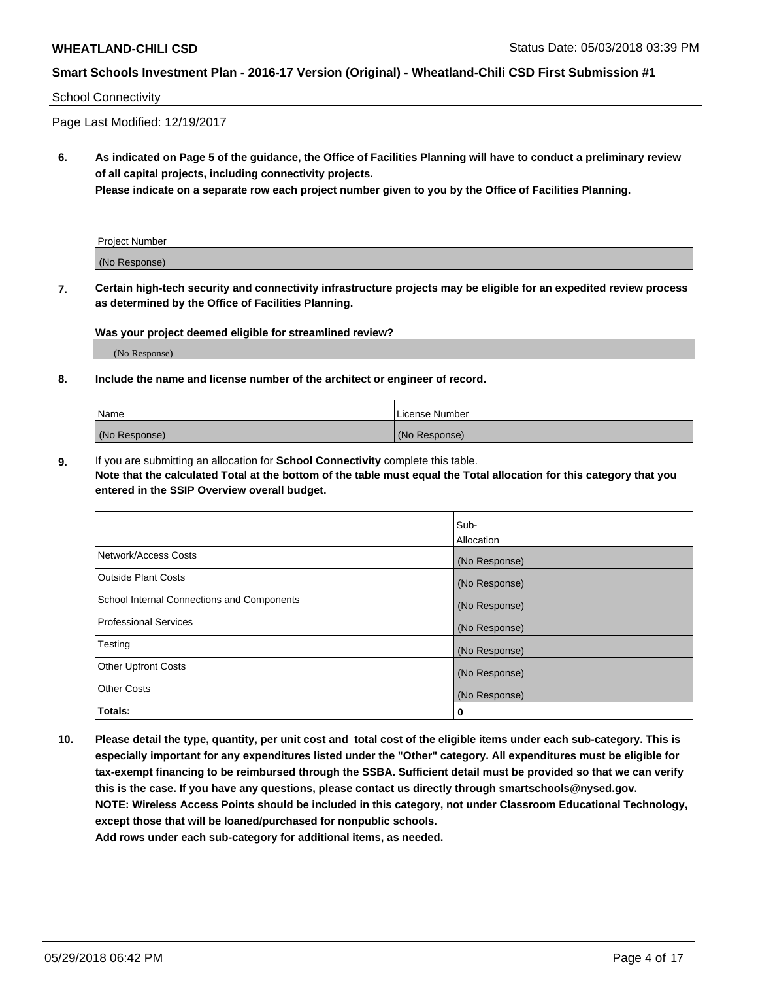## School Connectivity

Page Last Modified: 12/19/2017

**6. As indicated on Page 5 of the guidance, the Office of Facilities Planning will have to conduct a preliminary review of all capital projects, including connectivity projects.**

**Please indicate on a separate row each project number given to you by the Office of Facilities Planning.**

| Project Number |  |
|----------------|--|
| (No Response)  |  |

**7. Certain high-tech security and connectivity infrastructure projects may be eligible for an expedited review process as determined by the Office of Facilities Planning.**

#### **Was your project deemed eligible for streamlined review?**

(No Response)

#### **8. Include the name and license number of the architect or engineer of record.**

| Name          | License Number |
|---------------|----------------|
| (No Response) | (No Response)  |

**9.** If you are submitting an allocation for **School Connectivity** complete this table.

**Note that the calculated Total at the bottom of the table must equal the Total allocation for this category that you entered in the SSIP Overview overall budget.** 

|                                            | Sub-          |
|--------------------------------------------|---------------|
|                                            | Allocation    |
| Network/Access Costs                       | (No Response) |
| <b>Outside Plant Costs</b>                 | (No Response) |
| School Internal Connections and Components | (No Response) |
| Professional Services                      | (No Response) |
| Testing                                    | (No Response) |
| <b>Other Upfront Costs</b>                 | (No Response) |
| <b>Other Costs</b>                         | (No Response) |
| Totals:                                    | 0             |

**10. Please detail the type, quantity, per unit cost and total cost of the eligible items under each sub-category. This is especially important for any expenditures listed under the "Other" category. All expenditures must be eligible for tax-exempt financing to be reimbursed through the SSBA. Sufficient detail must be provided so that we can verify this is the case. If you have any questions, please contact us directly through smartschools@nysed.gov. NOTE: Wireless Access Points should be included in this category, not under Classroom Educational Technology, except those that will be loaned/purchased for nonpublic schools.**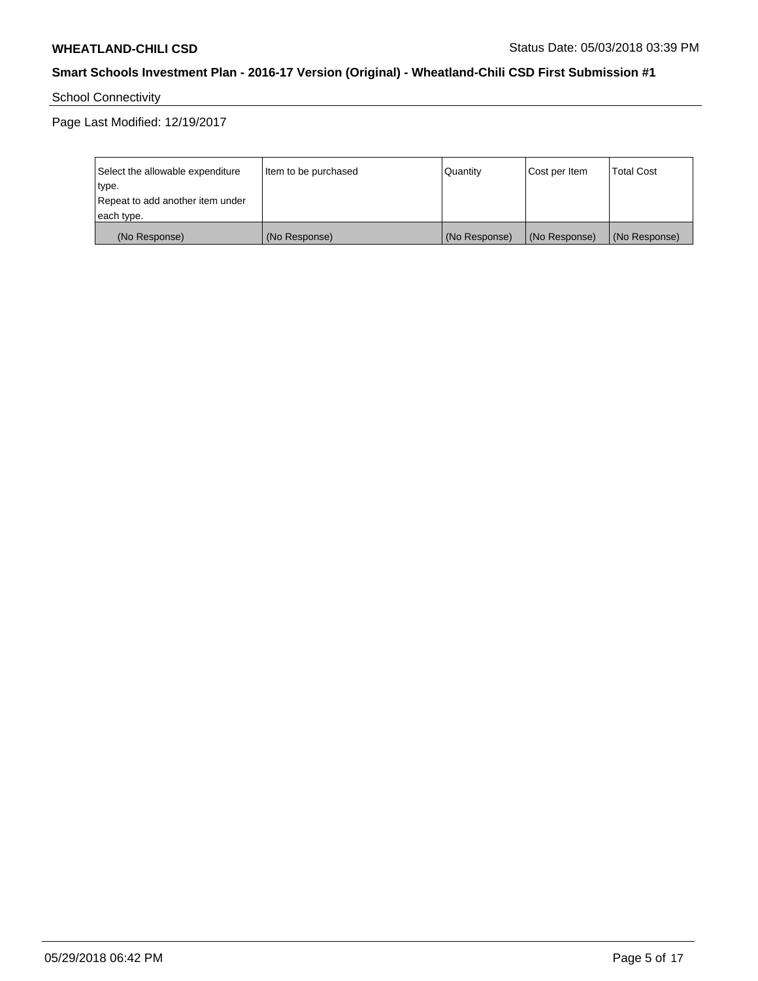School Connectivity

Page Last Modified: 12/19/2017

| Select the allowable expenditure<br>type.<br>Repeat to add another item under | Item to be purchased | Quantity      | Cost per Item | <b>Total Cost</b> |
|-------------------------------------------------------------------------------|----------------------|---------------|---------------|-------------------|
| each type.                                                                    |                      |               |               |                   |
| (No Response)                                                                 | (No Response)        | (No Response) | (No Response) | (No Response)     |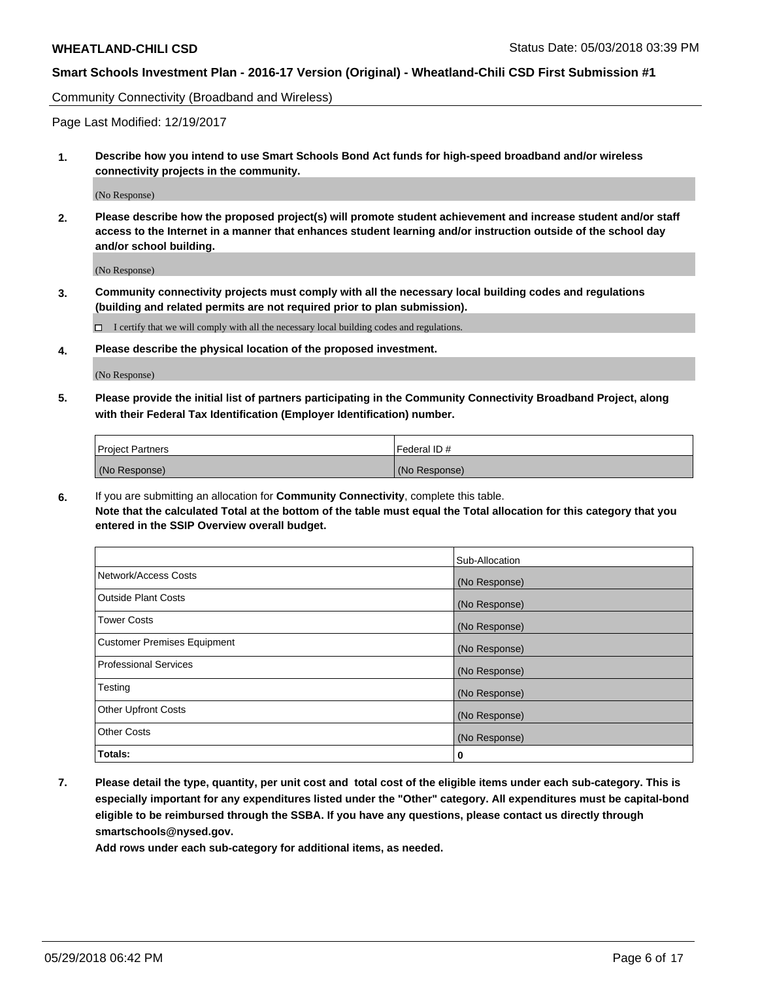Community Connectivity (Broadband and Wireless)

Page Last Modified: 12/19/2017

**1. Describe how you intend to use Smart Schools Bond Act funds for high-speed broadband and/or wireless connectivity projects in the community.**

(No Response)

**2. Please describe how the proposed project(s) will promote student achievement and increase student and/or staff access to the Internet in a manner that enhances student learning and/or instruction outside of the school day and/or school building.**

(No Response)

**3. Community connectivity projects must comply with all the necessary local building codes and regulations (building and related permits are not required prior to plan submission).**

 $\Box$  I certify that we will comply with all the necessary local building codes and regulations.

**4. Please describe the physical location of the proposed investment.**

(No Response)

**5. Please provide the initial list of partners participating in the Community Connectivity Broadband Project, along with their Federal Tax Identification (Employer Identification) number.**

| <b>Project Partners</b> | Federal ID#   |
|-------------------------|---------------|
| (No Response)           | (No Response) |

**6.** If you are submitting an allocation for **Community Connectivity**, complete this table. **Note that the calculated Total at the bottom of the table must equal the Total allocation for this category that you entered in the SSIP Overview overall budget.**

|                                    | Sub-Allocation |
|------------------------------------|----------------|
| Network/Access Costs               | (No Response)  |
| Outside Plant Costs                | (No Response)  |
| <b>Tower Costs</b>                 | (No Response)  |
| <b>Customer Premises Equipment</b> | (No Response)  |
| Professional Services              | (No Response)  |
| Testing                            | (No Response)  |
| <b>Other Upfront Costs</b>         | (No Response)  |
| <b>Other Costs</b>                 | (No Response)  |
| Totals:                            | 0              |

**7. Please detail the type, quantity, per unit cost and total cost of the eligible items under each sub-category. This is especially important for any expenditures listed under the "Other" category. All expenditures must be capital-bond eligible to be reimbursed through the SSBA. If you have any questions, please contact us directly through smartschools@nysed.gov.**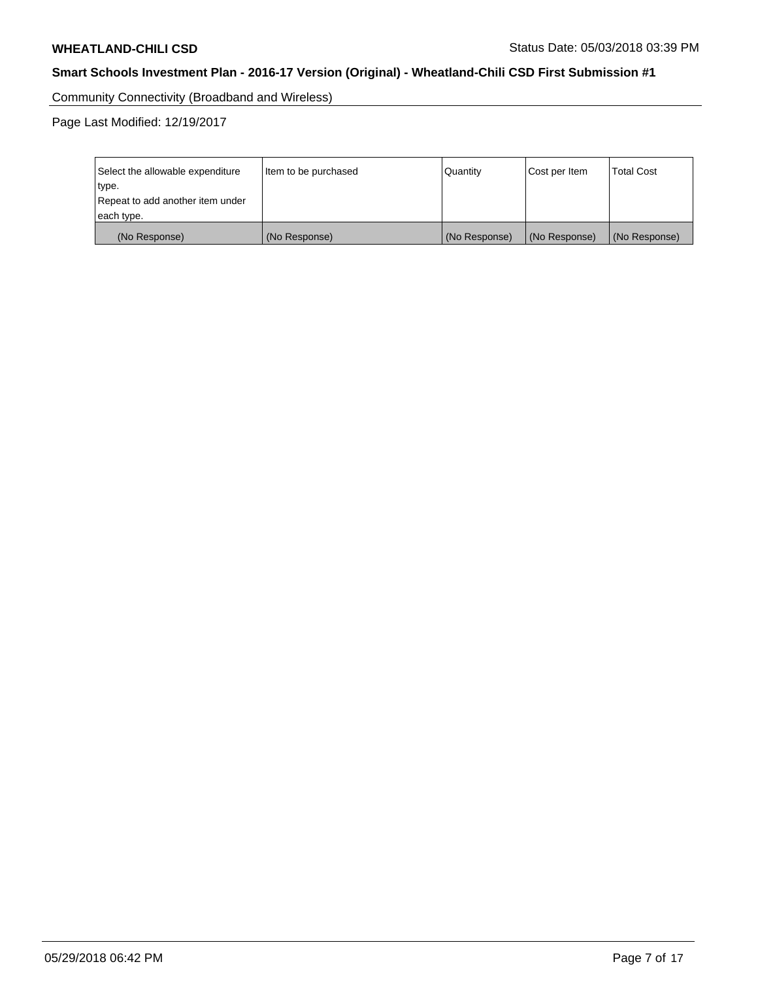Community Connectivity (Broadband and Wireless)

Page Last Modified: 12/19/2017

| Select the allowable expenditure<br>type.<br>Repeat to add another item under | Item to be purchased | Quantity      | Cost per Item | <b>Total Cost</b> |
|-------------------------------------------------------------------------------|----------------------|---------------|---------------|-------------------|
| each type.                                                                    |                      |               |               |                   |
| (No Response)                                                                 | (No Response)        | (No Response) | (No Response) | (No Response)     |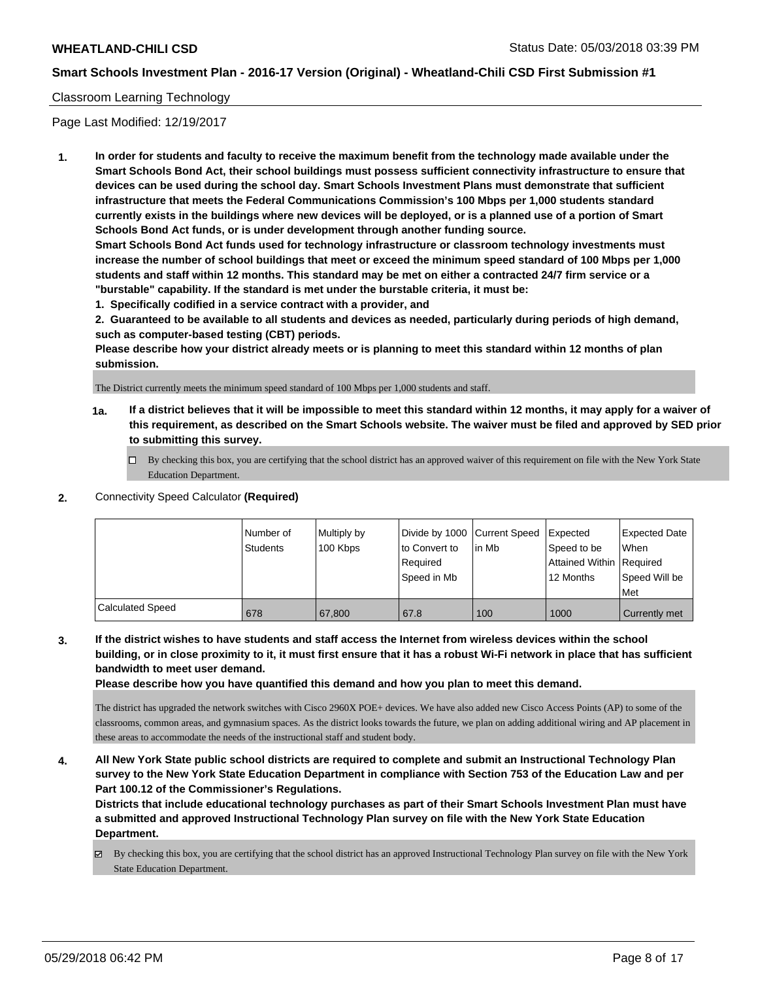## Classroom Learning Technology

Page Last Modified: 12/19/2017

**1. In order for students and faculty to receive the maximum benefit from the technology made available under the Smart Schools Bond Act, their school buildings must possess sufficient connectivity infrastructure to ensure that devices can be used during the school day. Smart Schools Investment Plans must demonstrate that sufficient infrastructure that meets the Federal Communications Commission's 100 Mbps per 1,000 students standard currently exists in the buildings where new devices will be deployed, or is a planned use of a portion of Smart Schools Bond Act funds, or is under development through another funding source.**

**Smart Schools Bond Act funds used for technology infrastructure or classroom technology investments must increase the number of school buildings that meet or exceed the minimum speed standard of 100 Mbps per 1,000 students and staff within 12 months. This standard may be met on either a contracted 24/7 firm service or a "burstable" capability. If the standard is met under the burstable criteria, it must be:**

**1. Specifically codified in a service contract with a provider, and**

**2. Guaranteed to be available to all students and devices as needed, particularly during periods of high demand, such as computer-based testing (CBT) periods.**

**Please describe how your district already meets or is planning to meet this standard within 12 months of plan submission.**

The District currently meets the minimum speed standard of 100 Mbps per 1,000 students and staff.

- **1a. If a district believes that it will be impossible to meet this standard within 12 months, it may apply for a waiver of this requirement, as described on the Smart Schools website. The waiver must be filed and approved by SED prior to submitting this survey.**
	- By checking this box, you are certifying that the school district has an approved waiver of this requirement on file with the New York State Education Department.
- **2.** Connectivity Speed Calculator **(Required)**

|                         | I Number of<br><b>Students</b> | Multiply by<br>100 Kbps | Divide by 1000 Current Speed<br>to Convert to<br>Required<br>Speed in Mb | lin Mb | <b>I</b> Expected<br>Speed to be<br>Attained Within Required<br>12 Months | Expected Date<br>When<br>Speed Will be<br>Met |
|-------------------------|--------------------------------|-------------------------|--------------------------------------------------------------------------|--------|---------------------------------------------------------------------------|-----------------------------------------------|
| <b>Calculated Speed</b> | 678                            | 67.800                  | 67.8                                                                     | 100    | 1000                                                                      | Currently met                                 |

**3. If the district wishes to have students and staff access the Internet from wireless devices within the school building, or in close proximity to it, it must first ensure that it has a robust Wi-Fi network in place that has sufficient bandwidth to meet user demand.**

**Please describe how you have quantified this demand and how you plan to meet this demand.**

The district has upgraded the network switches with Cisco 2960X POE+ devices. We have also added new Cisco Access Points (AP) to some of the classrooms, common areas, and gymnasium spaces. As the district looks towards the future, we plan on adding additional wiring and AP placement in these areas to accommodate the needs of the instructional staff and student body.

**4. All New York State public school districts are required to complete and submit an Instructional Technology Plan survey to the New York State Education Department in compliance with Section 753 of the Education Law and per Part 100.12 of the Commissioner's Regulations.**

**Districts that include educational technology purchases as part of their Smart Schools Investment Plan must have a submitted and approved Instructional Technology Plan survey on file with the New York State Education Department.**

By checking this box, you are certifying that the school district has an approved Instructional Technology Plan survey on file with the New York State Education Department.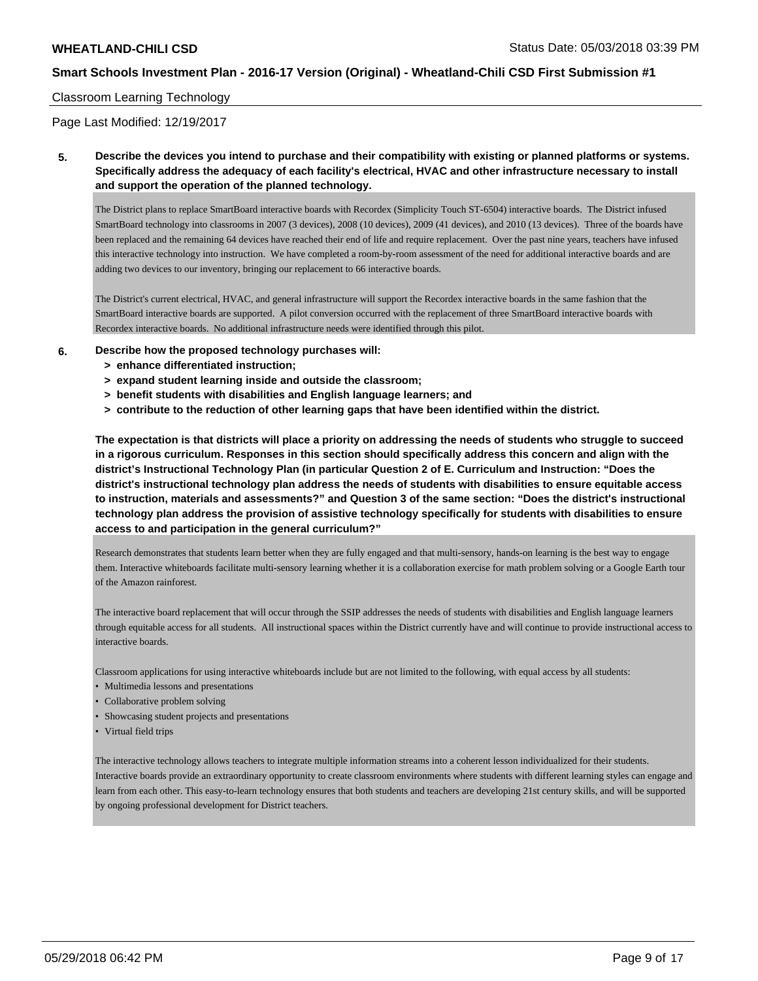## Classroom Learning Technology

Page Last Modified: 12/19/2017

**5. Describe the devices you intend to purchase and their compatibility with existing or planned platforms or systems. Specifically address the adequacy of each facility's electrical, HVAC and other infrastructure necessary to install and support the operation of the planned technology.**

The District plans to replace SmartBoard interactive boards with Recordex (Simplicity Touch ST-6504) interactive boards. The District infused SmartBoard technology into classrooms in 2007 (3 devices), 2008 (10 devices), 2009 (41 devices), and 2010 (13 devices). Three of the boards have been replaced and the remaining 64 devices have reached their end of life and require replacement. Over the past nine years, teachers have infused this interactive technology into instruction. We have completed a room-by-room assessment of the need for additional interactive boards and are adding two devices to our inventory, bringing our replacement to 66 interactive boards.

The District's current electrical, HVAC, and general infrastructure will support the Recordex interactive boards in the same fashion that the SmartBoard interactive boards are supported. A pilot conversion occurred with the replacement of three SmartBoard interactive boards with Recordex interactive boards. No additional infrastructure needs were identified through this pilot.

### **6. Describe how the proposed technology purchases will:**

- **> enhance differentiated instruction;**
- **> expand student learning inside and outside the classroom;**
- **> benefit students with disabilities and English language learners; and**
- **> contribute to the reduction of other learning gaps that have been identified within the district.**

**The expectation is that districts will place a priority on addressing the needs of students who struggle to succeed in a rigorous curriculum. Responses in this section should specifically address this concern and align with the district's Instructional Technology Plan (in particular Question 2 of E. Curriculum and Instruction: "Does the district's instructional technology plan address the needs of students with disabilities to ensure equitable access to instruction, materials and assessments?" and Question 3 of the same section: "Does the district's instructional technology plan address the provision of assistive technology specifically for students with disabilities to ensure access to and participation in the general curriculum?"**

Research demonstrates that students learn better when they are fully engaged and that multi-sensory, hands-on learning is the best way to engage them. Interactive whiteboards facilitate multi-sensory learning whether it is a collaboration exercise for math problem solving or a Google Earth tour of the Amazon rainforest.

The interactive board replacement that will occur through the SSIP addresses the needs of students with disabilities and English language learners through equitable access for all students. All instructional spaces within the District currently have and will continue to provide instructional access to interactive boards.

Classroom applications for using interactive whiteboards include but are not limited to the following, with equal access by all students:

- Multimedia lessons and presentations
- Collaborative problem solving
- Showcasing student projects and presentations
- Virtual field trips

The interactive technology allows teachers to integrate multiple information streams into a coherent lesson individualized for their students. Interactive boards provide an extraordinary opportunity to create classroom environments where students with different learning styles can engage and learn from each other. This easy-to-learn technology ensures that both students and teachers are developing 21st century skills, and will be supported by ongoing professional development for District teachers.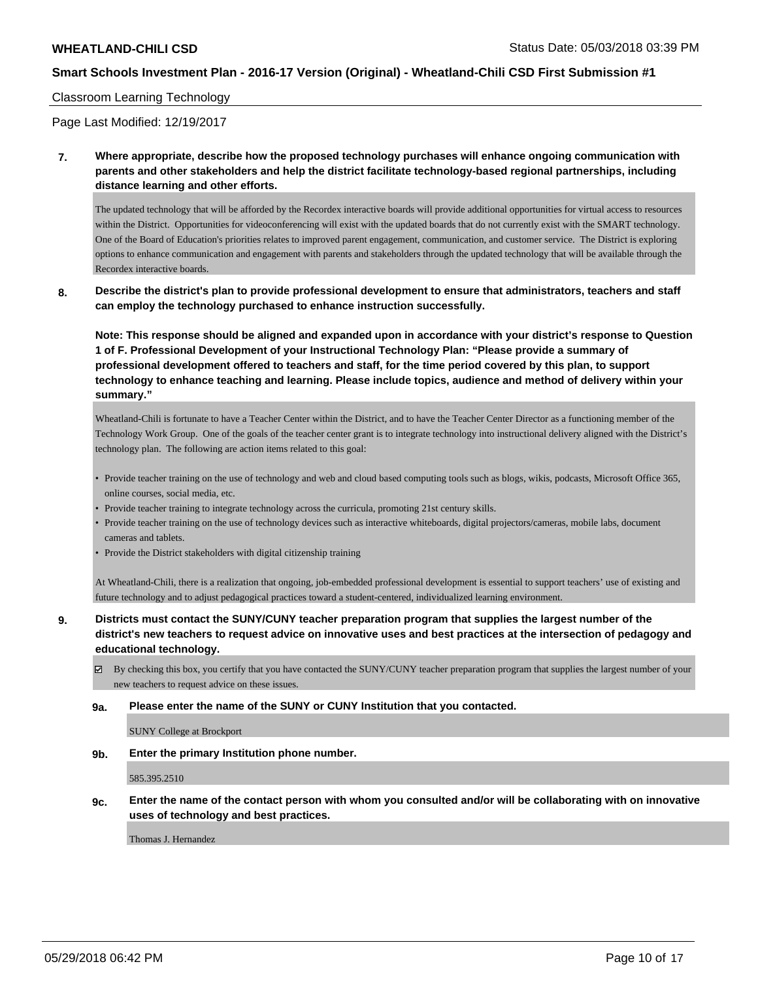## Classroom Learning Technology

Page Last Modified: 12/19/2017

**7. Where appropriate, describe how the proposed technology purchases will enhance ongoing communication with parents and other stakeholders and help the district facilitate technology-based regional partnerships, including distance learning and other efforts.**

The updated technology that will be afforded by the Recordex interactive boards will provide additional opportunities for virtual access to resources within the District. Opportunities for videoconferencing will exist with the updated boards that do not currently exist with the SMART technology. One of the Board of Education's priorities relates to improved parent engagement, communication, and customer service. The District is exploring options to enhance communication and engagement with parents and stakeholders through the updated technology that will be available through the Recordex interactive boards.

**8. Describe the district's plan to provide professional development to ensure that administrators, teachers and staff can employ the technology purchased to enhance instruction successfully.**

**Note: This response should be aligned and expanded upon in accordance with your district's response to Question 1 of F. Professional Development of your Instructional Technology Plan: "Please provide a summary of professional development offered to teachers and staff, for the time period covered by this plan, to support technology to enhance teaching and learning. Please include topics, audience and method of delivery within your summary."**

Wheatland-Chili is fortunate to have a Teacher Center within the District, and to have the Teacher Center Director as a functioning member of the Technology Work Group. One of the goals of the teacher center grant is to integrate technology into instructional delivery aligned with the District's technology plan. The following are action items related to this goal:

- Provide teacher training on the use of technology and web and cloud based computing tools such as blogs, wikis, podcasts, Microsoft Office 365, online courses, social media, etc.
- Provide teacher training to integrate technology across the curricula, promoting 21st century skills.
- Provide teacher training on the use of technology devices such as interactive whiteboards, digital projectors/cameras, mobile labs, document cameras and tablets.
- Provide the District stakeholders with digital citizenship training

At Wheatland-Chili, there is a realization that ongoing, job-embedded professional development is essential to support teachers' use of existing and future technology and to adjust pedagogical practices toward a student-centered, individualized learning environment.

**9. Districts must contact the SUNY/CUNY teacher preparation program that supplies the largest number of the district's new teachers to request advice on innovative uses and best practices at the intersection of pedagogy and educational technology.**

By checking this box, you certify that you have contacted the SUNY/CUNY teacher preparation program that supplies the largest number of your new teachers to request advice on these issues.

#### **9a. Please enter the name of the SUNY or CUNY Institution that you contacted.**

SUNY College at Brockport

**9b. Enter the primary Institution phone number.**

585.395.2510

**9c. Enter the name of the contact person with whom you consulted and/or will be collaborating with on innovative uses of technology and best practices.**

Thomas J. Hernandez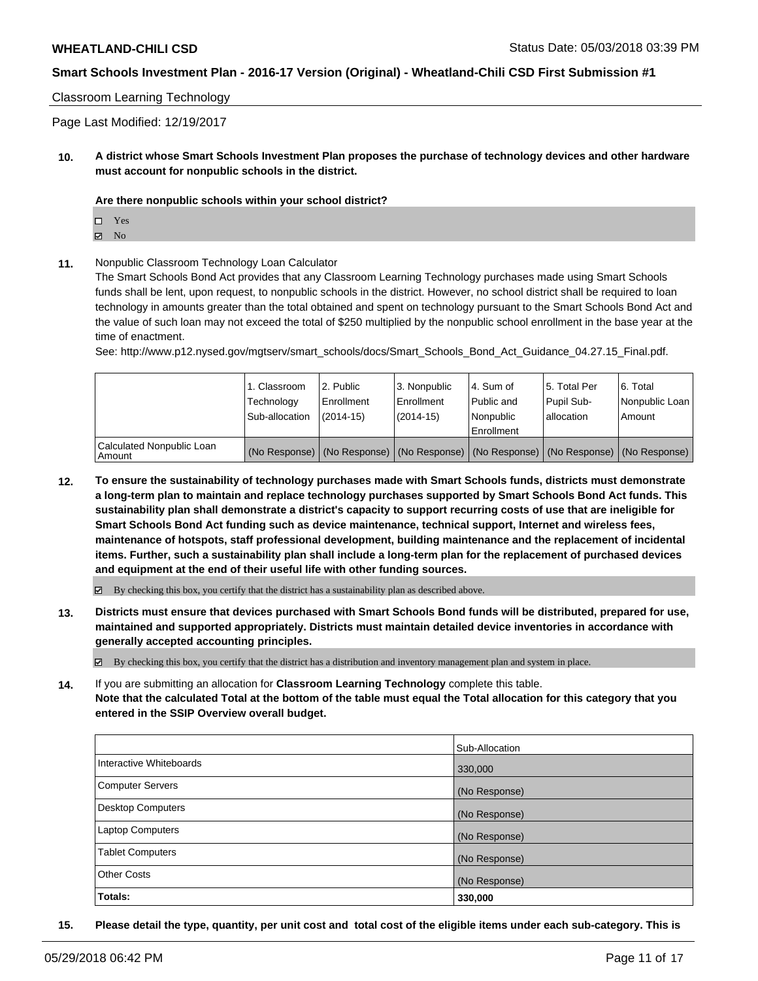Classroom Learning Technology

Page Last Modified: 12/19/2017

**10. A district whose Smart Schools Investment Plan proposes the purchase of technology devices and other hardware must account for nonpublic schools in the district.**

#### **Are there nonpublic schools within your school district?**

Yes

 $\boxtimes$  No

**11.** Nonpublic Classroom Technology Loan Calculator

The Smart Schools Bond Act provides that any Classroom Learning Technology purchases made using Smart Schools funds shall be lent, upon request, to nonpublic schools in the district. However, no school district shall be required to loan technology in amounts greater than the total obtained and spent on technology pursuant to the Smart Schools Bond Act and the value of such loan may not exceed the total of \$250 multiplied by the nonpublic school enrollment in the base year at the time of enactment.

See: http://www.p12.nysed.gov/mgtserv/smart\_schools/docs/Smart\_Schools\_Bond\_Act\_Guidance\_04.27.15\_Final.pdf.

|                                       | 1. Classroom<br>Technology<br>Sub-allocation | l 2. Public<br>l Enrollment<br>$(2014-15)$ | 3. Nonpublic<br>l Enrollment<br>(2014-15) | l 4. Sum of<br>l Public and<br>l Nonpublic<br>Enrollment | 15. Total Per<br>Pupil Sub-<br>l allocation | 6. Total<br>Nonpublic Loan<br>Amount                                                          |
|---------------------------------------|----------------------------------------------|--------------------------------------------|-------------------------------------------|----------------------------------------------------------|---------------------------------------------|-----------------------------------------------------------------------------------------------|
| Calculated Nonpublic Loan<br>l Amount |                                              |                                            |                                           |                                                          |                                             | (No Response)   (No Response)   (No Response)   (No Response)   (No Response)   (No Response) |

**12. To ensure the sustainability of technology purchases made with Smart Schools funds, districts must demonstrate a long-term plan to maintain and replace technology purchases supported by Smart Schools Bond Act funds. This sustainability plan shall demonstrate a district's capacity to support recurring costs of use that are ineligible for Smart Schools Bond Act funding such as device maintenance, technical support, Internet and wireless fees, maintenance of hotspots, staff professional development, building maintenance and the replacement of incidental items. Further, such a sustainability plan shall include a long-term plan for the replacement of purchased devices and equipment at the end of their useful life with other funding sources.**

 $\boxtimes$  By checking this box, you certify that the district has a sustainability plan as described above.

**13. Districts must ensure that devices purchased with Smart Schools Bond funds will be distributed, prepared for use, maintained and supported appropriately. Districts must maintain detailed device inventories in accordance with generally accepted accounting principles.**

By checking this box, you certify that the district has a distribution and inventory management plan and system in place.

**14.** If you are submitting an allocation for **Classroom Learning Technology** complete this table. **Note that the calculated Total at the bottom of the table must equal the Total allocation for this category that you entered in the SSIP Overview overall budget.**

|                          | Sub-Allocation |
|--------------------------|----------------|
| Interactive Whiteboards  | 330,000        |
| <b>Computer Servers</b>  | (No Response)  |
| <b>Desktop Computers</b> | (No Response)  |
| <b>Laptop Computers</b>  | (No Response)  |
| <b>Tablet Computers</b>  | (No Response)  |
| <b>Other Costs</b>       | (No Response)  |
| Totals:                  | 330,000        |

**15. Please detail the type, quantity, per unit cost and total cost of the eligible items under each sub-category. This is**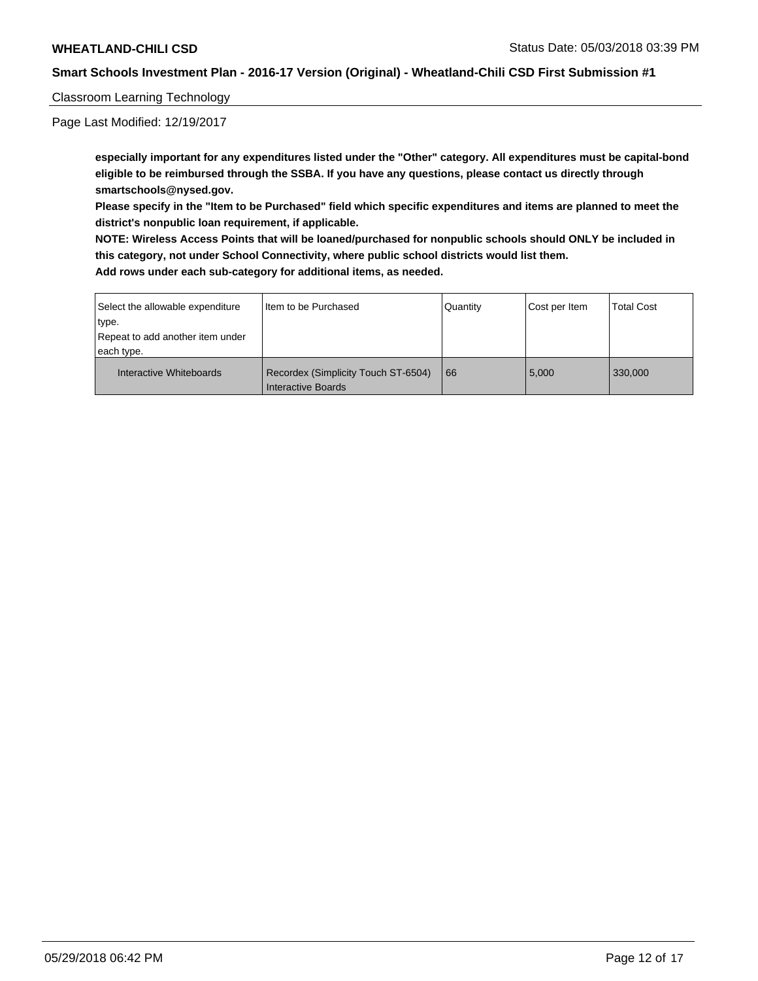Classroom Learning Technology

Page Last Modified: 12/19/2017

**especially important for any expenditures listed under the "Other" category. All expenditures must be capital-bond eligible to be reimbursed through the SSBA. If you have any questions, please contact us directly through smartschools@nysed.gov.**

**Please specify in the "Item to be Purchased" field which specific expenditures and items are planned to meet the district's nonpublic loan requirement, if applicable.**

**NOTE: Wireless Access Points that will be loaned/purchased for nonpublic schools should ONLY be included in this category, not under School Connectivity, where public school districts would list them.**

| Select the allowable expenditure<br>type.      | I Item to be Purchased                                    | Quantity | Cost per Item | <b>Total Cost</b> |
|------------------------------------------------|-----------------------------------------------------------|----------|---------------|-------------------|
| Repeat to add another item under<br>each type. |                                                           |          |               |                   |
| Interactive Whiteboards                        | Recordex (Simplicity Touch ST-6504)<br>Interactive Boards | 66       | 5,000         | 330.000           |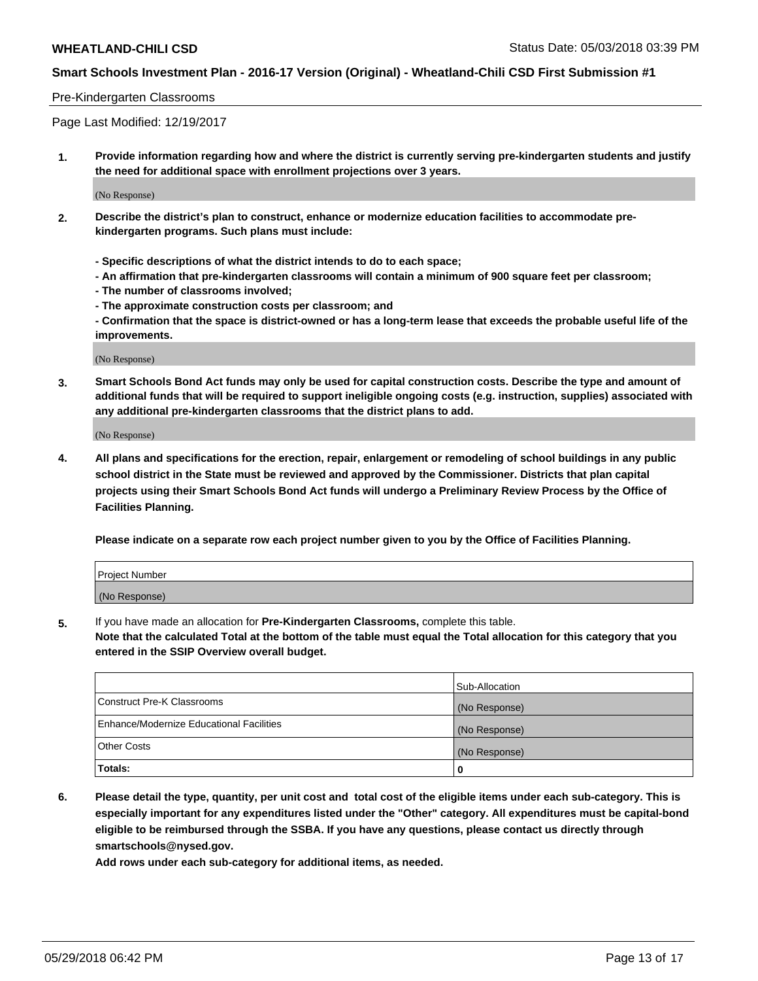### Pre-Kindergarten Classrooms

Page Last Modified: 12/19/2017

**1. Provide information regarding how and where the district is currently serving pre-kindergarten students and justify the need for additional space with enrollment projections over 3 years.**

(No Response)

- **2. Describe the district's plan to construct, enhance or modernize education facilities to accommodate prekindergarten programs. Such plans must include:**
	- **Specific descriptions of what the district intends to do to each space;**
	- **An affirmation that pre-kindergarten classrooms will contain a minimum of 900 square feet per classroom;**
	- **The number of classrooms involved;**
	- **The approximate construction costs per classroom; and**
	- **Confirmation that the space is district-owned or has a long-term lease that exceeds the probable useful life of the improvements.**

(No Response)

**3. Smart Schools Bond Act funds may only be used for capital construction costs. Describe the type and amount of additional funds that will be required to support ineligible ongoing costs (e.g. instruction, supplies) associated with any additional pre-kindergarten classrooms that the district plans to add.**

(No Response)

**4. All plans and specifications for the erection, repair, enlargement or remodeling of school buildings in any public school district in the State must be reviewed and approved by the Commissioner. Districts that plan capital projects using their Smart Schools Bond Act funds will undergo a Preliminary Review Process by the Office of Facilities Planning.**

**Please indicate on a separate row each project number given to you by the Office of Facilities Planning.**

| <b>Project Number</b> |  |
|-----------------------|--|
| (No Response)         |  |

**5.** If you have made an allocation for **Pre-Kindergarten Classrooms,** complete this table.

**Note that the calculated Total at the bottom of the table must equal the Total allocation for this category that you entered in the SSIP Overview overall budget.**

|                                          | Sub-Allocation |
|------------------------------------------|----------------|
| Construct Pre-K Classrooms               | (No Response)  |
| Enhance/Modernize Educational Facilities | (No Response)  |
| Other Costs                              | (No Response)  |
| Totals:                                  | 0              |

**6. Please detail the type, quantity, per unit cost and total cost of the eligible items under each sub-category. This is especially important for any expenditures listed under the "Other" category. All expenditures must be capital-bond eligible to be reimbursed through the SSBA. If you have any questions, please contact us directly through smartschools@nysed.gov.**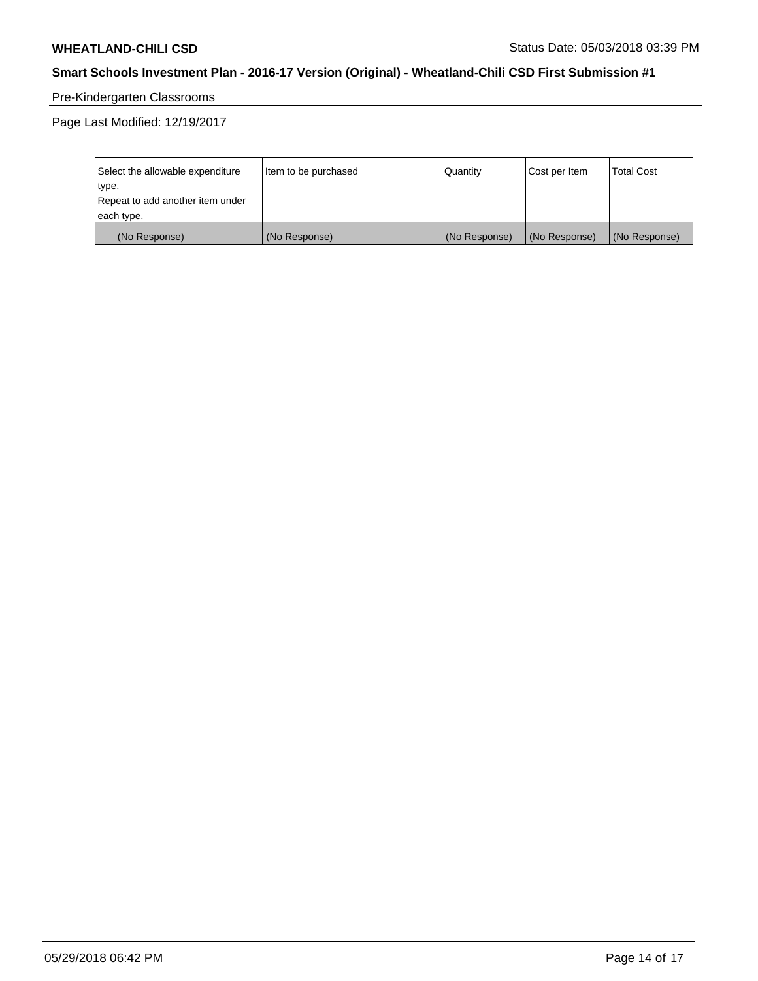# Pre-Kindergarten Classrooms

Page Last Modified: 12/19/2017

| Select the allowable expenditure | Item to be purchased | Quantity      | Cost per Item | <b>Total Cost</b> |
|----------------------------------|----------------------|---------------|---------------|-------------------|
| type.                            |                      |               |               |                   |
| Repeat to add another item under |                      |               |               |                   |
| each type.                       |                      |               |               |                   |
| (No Response)                    | (No Response)        | (No Response) | (No Response) | (No Response)     |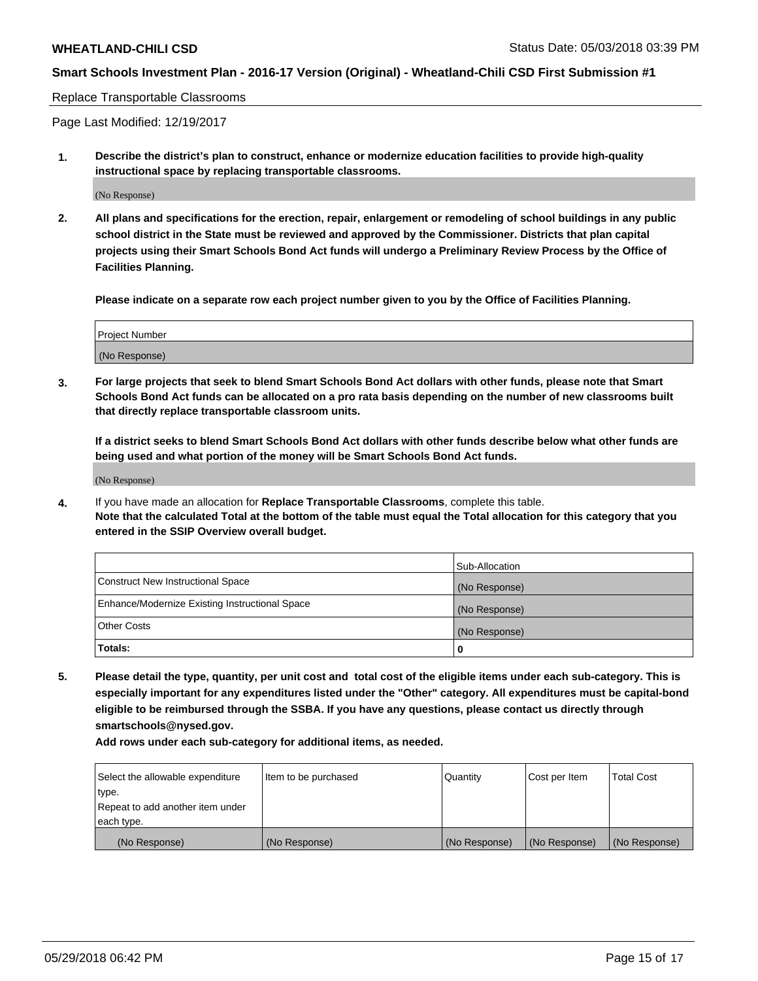#### Replace Transportable Classrooms

Page Last Modified: 12/19/2017

**1. Describe the district's plan to construct, enhance or modernize education facilities to provide high-quality instructional space by replacing transportable classrooms.**

(No Response)

**2. All plans and specifications for the erection, repair, enlargement or remodeling of school buildings in any public school district in the State must be reviewed and approved by the Commissioner. Districts that plan capital projects using their Smart Schools Bond Act funds will undergo a Preliminary Review Process by the Office of Facilities Planning.**

**Please indicate on a separate row each project number given to you by the Office of Facilities Planning.**

| <b>Project Number</b> |  |
|-----------------------|--|
| (No Response)         |  |

**3. For large projects that seek to blend Smart Schools Bond Act dollars with other funds, please note that Smart Schools Bond Act funds can be allocated on a pro rata basis depending on the number of new classrooms built that directly replace transportable classroom units.**

**If a district seeks to blend Smart Schools Bond Act dollars with other funds describe below what other funds are being used and what portion of the money will be Smart Schools Bond Act funds.**

(No Response)

**4.** If you have made an allocation for **Replace Transportable Classrooms**, complete this table. **Note that the calculated Total at the bottom of the table must equal the Total allocation for this category that you entered in the SSIP Overview overall budget.**

|                                                | Sub-Allocation |
|------------------------------------------------|----------------|
| Construct New Instructional Space              | (No Response)  |
| Enhance/Modernize Existing Instructional Space | (No Response)  |
| Other Costs                                    | (No Response)  |
| Totals:                                        | 0              |

**5. Please detail the type, quantity, per unit cost and total cost of the eligible items under each sub-category. This is especially important for any expenditures listed under the "Other" category. All expenditures must be capital-bond eligible to be reimbursed through the SSBA. If you have any questions, please contact us directly through smartschools@nysed.gov.**

| Select the allowable expenditure | Item to be purchased | Quantity      | Cost per Item | <b>Total Cost</b> |
|----------------------------------|----------------------|---------------|---------------|-------------------|
| type.                            |                      |               |               |                   |
| Repeat to add another item under |                      |               |               |                   |
| each type.                       |                      |               |               |                   |
| (No Response)                    | (No Response)        | (No Response) | (No Response) | (No Response)     |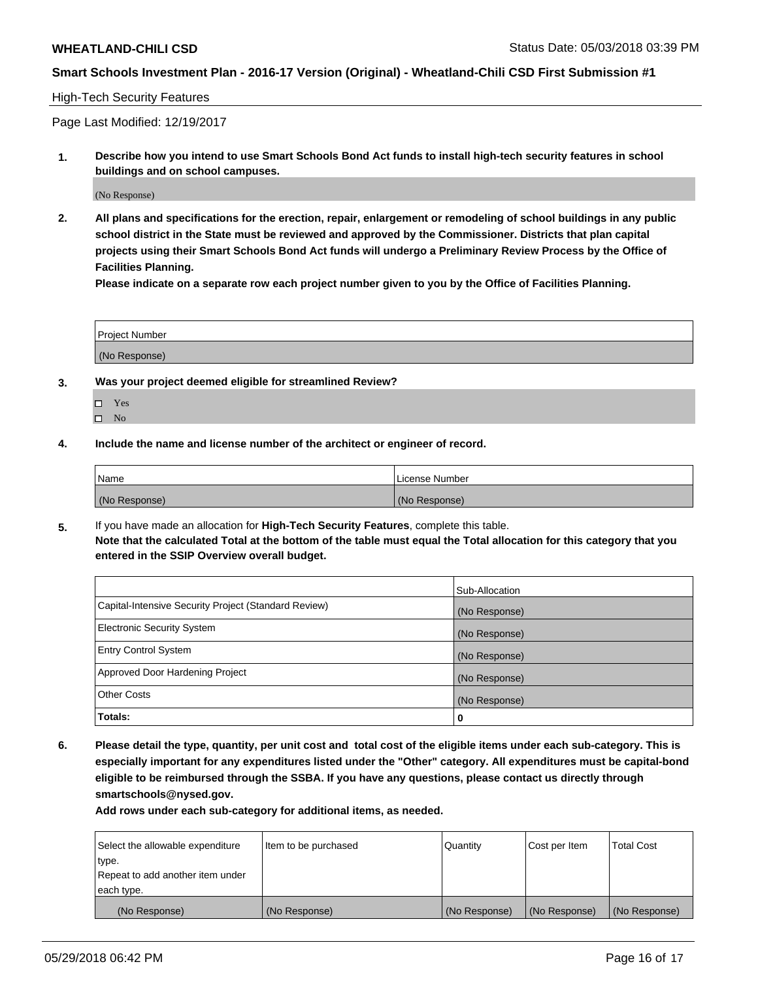# High-Tech Security Features

Page Last Modified: 12/19/2017

**1. Describe how you intend to use Smart Schools Bond Act funds to install high-tech security features in school buildings and on school campuses.**

(No Response)

**2. All plans and specifications for the erection, repair, enlargement or remodeling of school buildings in any public school district in the State must be reviewed and approved by the Commissioner. Districts that plan capital projects using their Smart Schools Bond Act funds will undergo a Preliminary Review Process by the Office of Facilities Planning.** 

**Please indicate on a separate row each project number given to you by the Office of Facilities Planning.**

| <b>Project Number</b> |  |  |
|-----------------------|--|--|
|                       |  |  |
| (No Response)         |  |  |

- **3. Was your project deemed eligible for streamlined Review?**
	- Yes  $\square$  No
- **4. Include the name and license number of the architect or engineer of record.**

| Name          | License Number |
|---------------|----------------|
| (No Response) | (No Response)  |

**5.** If you have made an allocation for **High-Tech Security Features**, complete this table. **Note that the calculated Total at the bottom of the table must equal the Total allocation for this category that you entered in the SSIP Overview overall budget.**

|                                                      | Sub-Allocation |
|------------------------------------------------------|----------------|
| Capital-Intensive Security Project (Standard Review) | (No Response)  |
| <b>Electronic Security System</b>                    | (No Response)  |
| <b>Entry Control System</b>                          | (No Response)  |
| Approved Door Hardening Project                      | (No Response)  |
| <b>Other Costs</b>                                   | (No Response)  |
| Totals:                                              | 0              |

**6. Please detail the type, quantity, per unit cost and total cost of the eligible items under each sub-category. This is especially important for any expenditures listed under the "Other" category. All expenditures must be capital-bond eligible to be reimbursed through the SSBA. If you have any questions, please contact us directly through smartschools@nysed.gov.**

| Select the allowable expenditure | Item to be purchased | Quantity      | Cost per Item | <b>Total Cost</b> |
|----------------------------------|----------------------|---------------|---------------|-------------------|
| type.                            |                      |               |               |                   |
| Repeat to add another item under |                      |               |               |                   |
| each type.                       |                      |               |               |                   |
| (No Response)                    | (No Response)        | (No Response) | (No Response) | (No Response)     |